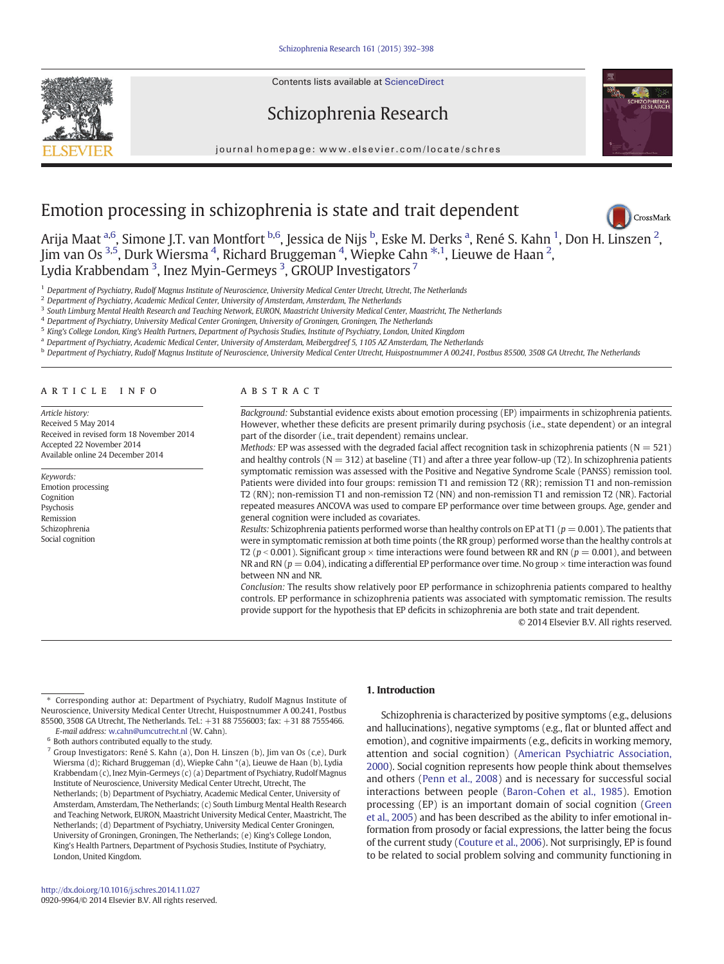Contents lists available at ScienceDirect





journal homepage: www.elsevier.com/locate/schres



CrossMark

# Emotion processing in schizophrenia is state and trait dependent

Arija Maat <sup>a,6</sup>, Simone J.T. van Montfort <sup>b,6</sup>, Jessica de Nijs <sup>b</sup>, Eske M. Derks <sup>a</sup>, René S. Kahn <sup>1</sup>, Don H. Linszen <sup>[2](http://crossmark.crossref.org/dialog/?doi=10.1016/j.schres.2014.11.027&domain=pdf)</sup>, Jim van Os <sup>3,5</sup>, Durk Wiersma <sup>4</sup>, Richard Bruggeman <sup>4</sup>, Wiepke Cahn <sup>\*,1</sup>, Lieuwe de Haan <sup>2</sup>, Lydia Krabbendam  $^3$ , Inez Myin-Germeys  $^3$ , GROUP Investigators  $^7$ 

<sup>1</sup> Department of Psychiatry, Rudolf Magnus Institute of Neuroscience, University Medical Center Utrecht, Utrecht, The Netherlands

<sup>2</sup> Department of Psychiatry, Academic Medical Center, University of Amsterdam, Amsterdam, The Netherlands

<sup>3</sup> South Limburg Mental Health Research and Teaching Network, EURON, Maastricht University Medical Center, Maastricht, The Netherlands

<sup>4</sup> Department of Psychiatry, University Medical Center Groningen, University of Groningen, Groningen, The Netherlands

King's College London, King's Health Partners, Department of Psychosis Studies, Institute of Psychiatry, London, United Kingdom

<sup>a</sup> Department of Psychiatry, Academic Medical Center, University of Amsterdam, Meibergdreef 5, 1105 AZ Amsterdam, The Netherlands

<sup>b</sup> Department of Psychiatry, Rudolf Magnus Institute of Neuroscience, University Medical Center Utrecht, Huispostnummer A 00.241, Postbus 85500, 3508 GA Utrecht, The Netherlands

#### article info abstract

Article history: Received 5 May 2014 Received in revised form 18 November 2014 Accepted 22 November 2014 Available online 24 December 2014

Keywords: Emotion processing Cognition Psychosis Remission Schizophrenia Social cognition

Background: Substantial evidence exists about emotion processing (EP) impairments in schizophrenia patients. However, whether these deficits are present primarily during psychosis (i.e., state dependent) or an integral part of the disorder (i.e., trait dependent) remains unclear.

Methods: EP was assessed with the degraded facial affect recognition task in schizophrenia patients ( $N = 521$ ) and healthy controls ( $N = 312$ ) at baseline (T1) and after a three year follow-up (T2). In schizophrenia patients symptomatic remission was assessed with the Positive and Negative Syndrome Scale (PANSS) remission tool. Patients were divided into four groups: remission T1 and remission T2 (RR); remission T1 and non-remission T2 (RN); non-remission T1 and non-remission T2 (NN) and non-remission T1 and remission T2 (NR). Factorial repeated measures ANCOVA was used to compare EP performance over time between groups. Age, gender and general cognition were included as covariates.

Results: Schizophrenia patients performed worse than healthy controls on EP at T1 ( $p = 0.001$ ). The patients that were in symptomatic remission at both time points (the RR group) performed worse than the healthy controls at T2 ( $p < 0.001$ ). Significant group  $\times$  time interactions were found between RR and RN ( $p = 0.001$ ), and between NR and RN ( $p = 0.04$ ), indicating a differential EP performance over time. No group  $\times$  time interaction was found between NN and NR.

Conclusion: The results show relatively poor EP performance in schizophrenia patients compared to healthy controls. EP performance in schizophrenia patients was associated with symptomatic remission. The results provide support for the hypothesis that EP deficits in schizophrenia are both state and trait dependent.

© 2014 Elsevier B.V. All rights reserved.

E-mail address: [w.cahn@umcutrecht.nl](mailto:w.cahn@umcutrecht.nl) (W. Cahn).  $6$  Both authors contributed equally to the study.

#### 1. Introduction

Schizophrenia is characterized by positive symptoms (e.g., delusions and hallucinations), negative symptoms (e.g., flat or blunted affect and emotion), and cognitive impairments (e.g., deficits in working memory, attention and social cognition) ([American Psychiatric Association,](#page-5-0) [2000\)](#page-5-0). Social cognition represents how people think about themselves and others ([Penn et al., 2008\)](#page-6-0) and is necessary for successful social interactions between people [\(Baron-Cohen et al., 1985\)](#page-5-0). Emotion processing (EP) is an important domain of social cognition ([Green](#page-6-0) [et al., 2005\)](#page-6-0) and has been described as the ability to infer emotional information from prosody or facial expressions, the latter being the focus of the current study [\(Couture et al., 2006\)](#page-5-0). Not surprisingly, EP is found to be related to social problem solving and community functioning in

<sup>⁎</sup> Corresponding author at: Department of Psychiatry, Rudolf Magnus Institute of Neuroscience, University Medical Center Utrecht, Huispostnummer A 00.241, Postbus 85500, 3508 GA Utrecht, The Netherlands. Tel.: +31 88 7556003; fax: +31 88 7555466.

<sup>7</sup> Group Investigators: René S. Kahn (a), Don H. Linszen (b), Jim van Os (c,e), Durk Wiersma (d); Richard Bruggeman (d), Wiepke Cahn \*(a), Lieuwe de Haan (b), Lydia Krabbendam (c), Inez Myin-Germeys (c) (a) Department of Psychiatry, Rudolf Magnus Institute of Neuroscience, University Medical Center Utrecht, Utrecht, The Netherlands; (b) Department of Psychiatry, Academic Medical Center, University of Amsterdam, Amsterdam, The Netherlands; (c) South Limburg Mental Health Research and Teaching Network, EURON, Maastricht University Medical Center, Maastricht, The Netherlands; (d) Department of Psychiatry, University Medical Center Groningen, University of Groningen, Groningen, The Netherlands; (e) King's College London, King's Health Partners, Department of Psychosis Studies, Institute of Psychiatry, London, United Kingdom.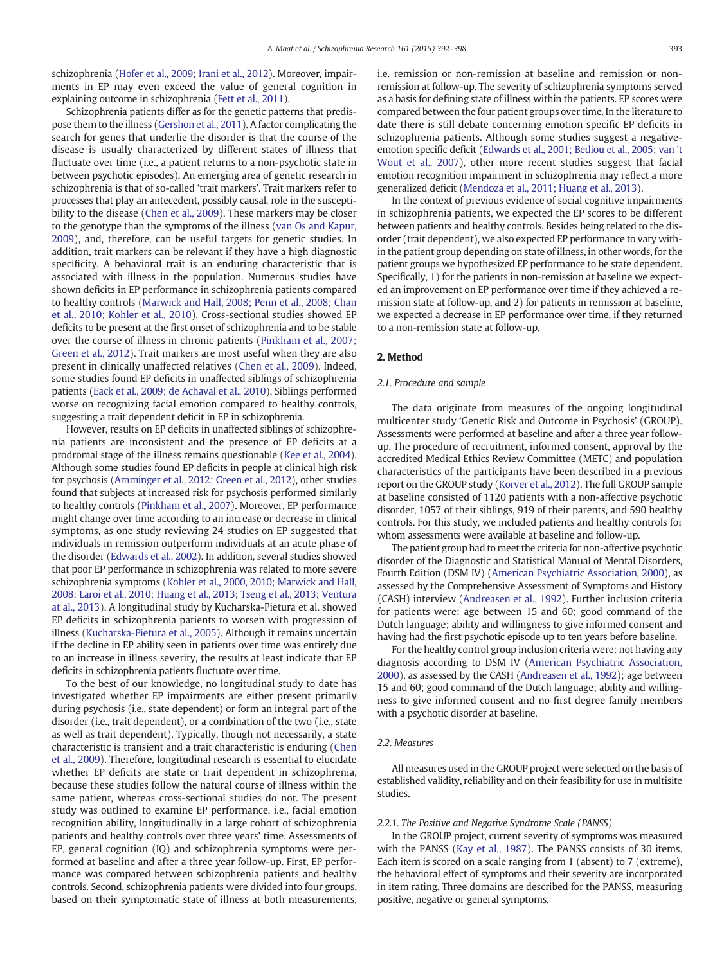schizophrenia ([Hofer et al., 2009; Irani et al., 2012\)](#page-6-0). Moreover, impairments in EP may even exceed the value of general cognition in explaining outcome in schizophrenia [\(Fett et al., 2011](#page-6-0)).

Schizophrenia patients differ as for the genetic patterns that predispose them to the illness [\(Gershon et al., 2011](#page-6-0)). A factor complicating the search for genes that underlie the disorder is that the course of the disease is usually characterized by different states of illness that fluctuate over time (i.e., a patient returns to a non-psychotic state in between psychotic episodes). An emerging area of genetic research in schizophrenia is that of so-called 'trait markers'. Trait markers refer to processes that play an antecedent, possibly causal, role in the susceptibility to the disease ([Chen et al., 2009](#page-5-0)). These markers may be closer to the genotype than the symptoms of the illness [\(van Os and Kapur,](#page-6-0) [2009\)](#page-6-0), and, therefore, can be useful targets for genetic studies. In addition, trait markers can be relevant if they have a high diagnostic specificity. A behavioral trait is an enduring characteristic that is associated with illness in the population. Numerous studies have shown deficits in EP performance in schizophrenia patients compared to healthy controls [\(Marwick and Hall, 2008; Penn et al., 2008; Chan](#page-6-0) [et al., 2010; Kohler et al., 2010\)](#page-6-0). Cross-sectional studies showed EP deficits to be present at the first onset of schizophrenia and to be stable over the course of illness in chronic patients ([Pinkham et al., 2007;](#page-6-0) [Green et al., 2012\)](#page-6-0). Trait markers are most useful when they are also present in clinically unaffected relatives ([Chen et al., 2009\)](#page-5-0). Indeed, some studies found EP deficits in unaffected siblings of schizophrenia patients ([Eack et al., 2009; de Achaval et al., 2010\)](#page-5-0). Siblings performed worse on recognizing facial emotion compared to healthy controls, suggesting a trait dependent deficit in EP in schizophrenia.

However, results on EP deficits in unaffected siblings of schizophrenia patients are inconsistent and the presence of EP deficits at a prodromal stage of the illness remains questionable ([Kee et al., 2004](#page-6-0)). Although some studies found EP deficits in people at clinical high risk for psychosis [\(Amminger et al., 2012; Green et al., 2012\)](#page-5-0), other studies found that subjects at increased risk for psychosis performed similarly to healthy controls [\(Pinkham et al., 2007\)](#page-6-0). Moreover, EP performance might change over time according to an increase or decrease in clinical symptoms, as one study reviewing 24 studies on EP suggested that individuals in remission outperform individuals at an acute phase of the disorder [\(Edwards et al., 2002](#page-5-0)). In addition, several studies showed that poor EP performance in schizophrenia was related to more severe schizophrenia symptoms [\(Kohler et al., 2000, 2010; Marwick and Hall,](#page-6-0) [2008; Laroi et al., 2010; Huang et al., 2013; Tseng et al., 2013; Ventura](#page-6-0) [at al., 2013](#page-6-0)). A longitudinal study by Kucharska-Pietura et al. showed EP deficits in schizophrenia patients to worsen with progression of illness ([Kucharska-Pietura et al., 2005](#page-6-0)). Although it remains uncertain if the decline in EP ability seen in patients over time was entirely due to an increase in illness severity, the results at least indicate that EP deficits in schizophrenia patients fluctuate over time.

To the best of our knowledge, no longitudinal study to date has investigated whether EP impairments are either present primarily during psychosis (i.e., state dependent) or form an integral part of the disorder (i.e., trait dependent), or a combination of the two (i.e., state as well as trait dependent). Typically, though not necessarily, a state characteristic is transient and a trait characteristic is enduring [\(Chen](#page-5-0) [et al., 2009](#page-5-0)). Therefore, longitudinal research is essential to elucidate whether EP deficits are state or trait dependent in schizophrenia, because these studies follow the natural course of illness within the same patient, whereas cross-sectional studies do not. The present study was outlined to examine EP performance, i.e., facial emotion recognition ability, longitudinally in a large cohort of schizophrenia patients and healthy controls over three years' time. Assessments of EP, general cognition (IQ) and schizophrenia symptoms were performed at baseline and after a three year follow-up. First, EP performance was compared between schizophrenia patients and healthy controls. Second, schizophrenia patients were divided into four groups, based on their symptomatic state of illness at both measurements,

i.e. remission or non-remission at baseline and remission or nonremission at follow-up. The severity of schizophrenia symptoms served as a basis for defining state of illness within the patients. EP scores were compared between the four patient groups over time. In the literature to date there is still debate concerning emotion specific EP deficits in schizophrenia patients. Although some studies suggest a negativeemotion specific deficit [\(Edwards et al., 2001; Bediou et al., 2005; van 't](#page-5-0) [Wout et al., 2007\)](#page-5-0), other more recent studies suggest that facial emotion recognition impairment in schizophrenia may reflect a more generalized deficit [\(Mendoza et al., 2011; Huang et al., 2013](#page-6-0)).

In the context of previous evidence of social cognitive impairments in schizophrenia patients, we expected the EP scores to be different between patients and healthy controls. Besides being related to the disorder (trait dependent), we also expected EP performance to vary within the patient group depending on state of illness, in other words, for the patient groups we hypothesized EP performance to be state dependent. Specifically, 1) for the patients in non-remission at baseline we expected an improvement on EP performance over time if they achieved a remission state at follow-up, and 2) for patients in remission at baseline, we expected a decrease in EP performance over time, if they returned to a non-remission state at follow-up.

# 2. Method

# 2.1. Procedure and sample

The data originate from measures of the ongoing longitudinal multicenter study 'Genetic Risk and Outcome in Psychosis' (GROUP). Assessments were performed at baseline and after a three year followup. The procedure of recruitment, informed consent, approval by the accredited Medical Ethics Review Committee (METC) and population characteristics of the participants have been described in a previous report on the GROUP study ([Korver et al., 2012\)](#page-6-0). The full GROUP sample at baseline consisted of 1120 patients with a non-affective psychotic disorder, 1057 of their siblings, 919 of their parents, and 590 healthy controls. For this study, we included patients and healthy controls for whom assessments were available at baseline and follow-up.

The patient group had to meet the criteria for non-affective psychotic disorder of the Diagnostic and Statistical Manual of Mental Disorders, Fourth Edition (DSM IV) ([American Psychiatric Association, 2000](#page-5-0)), as assessed by the Comprehensive Assessment of Symptoms and History (CASH) interview [\(Andreasen et al., 1992\)](#page-5-0). Further inclusion criteria for patients were: age between 15 and 60; good command of the Dutch language; ability and willingness to give informed consent and having had the first psychotic episode up to ten years before baseline.

For the healthy control group inclusion criteria were: not having any diagnosis according to DSM IV [\(American Psychiatric Association,](#page-5-0) [2000](#page-5-0)), as assessed by the CASH [\(Andreasen et al., 1992\)](#page-5-0); age between 15 and 60; good command of the Dutch language; ability and willingness to give informed consent and no first degree family members with a psychotic disorder at baseline.

#### 2.2. Measures

All measures used in the GROUP project were selected on the basis of established validity, reliability and on their feasibility for use in multisite studies.

#### 2.2.1. The Positive and Negative Syndrome Scale (PANSS)

In the GROUP project, current severity of symptoms was measured with the PANSS ([Kay et al., 1987\)](#page-6-0). The PANSS consists of 30 items. Each item is scored on a scale ranging from 1 (absent) to 7 (extreme), the behavioral effect of symptoms and their severity are incorporated in item rating. Three domains are described for the PANSS, measuring positive, negative or general symptoms.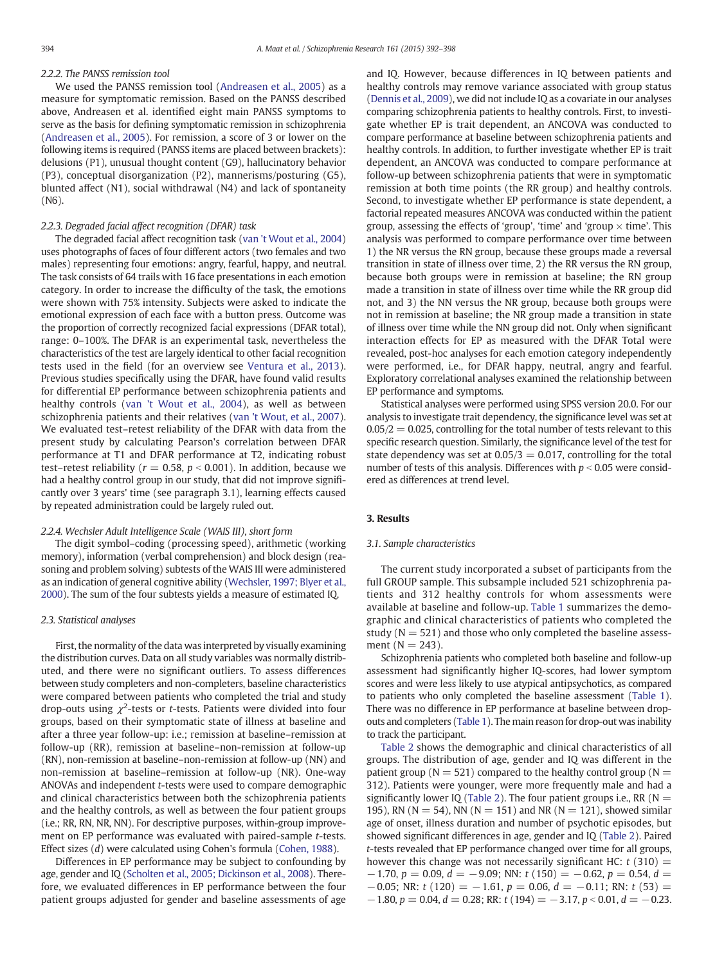# 2.2.2. The PANSS remission tool

We used the PANSS remission tool [\(Andreasen et al., 2005](#page-5-0)) as a measure for symptomatic remission. Based on the PANSS described above, Andreasen et al. identified eight main PANSS symptoms to serve as the basis for defining symptomatic remission in schizophrenia [\(Andreasen et al., 2005\)](#page-5-0). For remission, a score of 3 or lower on the following items is required (PANSS items are placed between brackets): delusions (P1), unusual thought content (G9), hallucinatory behavior (P3), conceptual disorganization (P2), mannerisms/posturing (G5), blunted affect (N1), social withdrawal (N4) and lack of spontaneity (N6).

# 2.2.3. Degraded facial affect recognition (DFAR) task

The degraded facial affect recognition task ([van 't Wout et al., 2004](#page-6-0)) uses photographs of faces of four different actors (two females and two males) representing four emotions: angry, fearful, happy, and neutral. The task consists of 64 trails with 16 face presentations in each emotion category. In order to increase the difficulty of the task, the emotions were shown with 75% intensity. Subjects were asked to indicate the emotional expression of each face with a button press. Outcome was the proportion of correctly recognized facial expressions (DFAR total), range: 0–100%. The DFAR is an experimental task, nevertheless the characteristics of the test are largely identical to other facial recognition tests used in the field (for an overview see [Ventura et al., 2013](#page-6-0)). Previous studies specifically using the DFAR, have found valid results for differential EP performance between schizophrenia patients and healthy controls [\(van 't Wout et al., 2004](#page-6-0)), as well as between schizophrenia patients and their relatives ([van 't Wout, et al., 2007](#page-6-0)). We evaluated test–retest reliability of the DFAR with data from the present study by calculating Pearson's correlation between DFAR performance at T1 and DFAR performance at T2, indicating robust test–retest reliability ( $r = 0.58$ ,  $p < 0.001$ ). In addition, because we had a healthy control group in our study, that did not improve significantly over 3 years' time (see paragraph 3.1), learning effects caused by repeated administration could be largely ruled out.

#### 2.2.4. Wechsler Adult Intelligence Scale (WAIS III), short form

The digit symbol–coding (processing speed), arithmetic (working memory), information (verbal comprehension) and block design (reasoning and problem solving) subtests of the WAIS III were administered as an indication of general cognitive ability ([Wechsler, 1997; Blyer et al.,](#page-6-0) [2000\)](#page-6-0). The sum of the four subtests yields a measure of estimated IQ.

#### 2.3. Statistical analyses

First, the normality of the data was interpreted by visually examining the distribution curves. Data on all study variables was normally distributed, and there were no significant outliers. To assess differences between study completers and non-completers, baseline characteristics were compared between patients who completed the trial and study drop-outs using  $\chi^2$ -tests or t-tests. Patients were divided into four groups, based on their symptomatic state of illness at baseline and after a three year follow-up: i.e.; remission at baseline–remission at follow-up (RR), remission at baseline–non-remission at follow-up (RN), non-remission at baseline–non-remission at follow-up (NN) and non-remission at baseline–remission at follow-up (NR). One-way ANOVAs and independent t-tests were used to compare demographic and clinical characteristics between both the schizophrenia patients and the healthy controls, as well as between the four patient groups (i.e.; RR, RN, NR, NN). For descriptive purposes, within-group improvement on EP performance was evaluated with paired-sample t-tests. Effect sizes (d) were calculated using Cohen's formula ([Cohen, 1988\)](#page-5-0).

Differences in EP performance may be subject to confounding by age, gender and IQ [\(Scholten et al., 2005; Dickinson et al., 2008](#page-6-0)). Therefore, we evaluated differences in EP performance between the four patient groups adjusted for gender and baseline assessments of age and IQ. However, because differences in IQ between patients and healthy controls may remove variance associated with group status [\(Dennis et al., 2009\)](#page-5-0), we did not include IQ as a covariate in our analyses comparing schizophrenia patients to healthy controls. First, to investigate whether EP is trait dependent, an ANCOVA was conducted to compare performance at baseline between schizophrenia patients and healthy controls. In addition, to further investigate whether EP is trait dependent, an ANCOVA was conducted to compare performance at follow-up between schizophrenia patients that were in symptomatic remission at both time points (the RR group) and healthy controls. Second, to investigate whether EP performance is state dependent, a factorial repeated measures ANCOVA was conducted within the patient group, assessing the effects of 'group', 'time' and 'group  $\times$  time'. This analysis was performed to compare performance over time between 1) the NR versus the RN group, because these groups made a reversal transition in state of illness over time, 2) the RR versus the RN group, because both groups were in remission at baseline; the RN group made a transition in state of illness over time while the RR group did not, and 3) the NN versus the NR group, because both groups were not in remission at baseline; the NR group made a transition in state of illness over time while the NN group did not. Only when significant interaction effects for EP as measured with the DFAR Total were revealed, post-hoc analyses for each emotion category independently were performed, i.e., for DFAR happy, neutral, angry and fearful. Exploratory correlational analyses examined the relationship between EP performance and symptoms.

Statistical analyses were performed using SPSS version 20.0. For our analysis to investigate trait dependency, the significance level was set at  $0.05/2 = 0.025$ , controlling for the total number of tests relevant to this specific research question. Similarly, the significance level of the test for state dependency was set at  $0.05/3 = 0.017$ , controlling for the total number of tests of this analysis. Differences with  $p < 0.05$  were considered as differences at trend level.

# 3. Results

#### 3.1. Sample characteristics

The current study incorporated a subset of participants from the full GROUP sample. This subsample included 521 schizophrenia patients and 312 healthy controls for whom assessments were available at baseline and follow-up. [Table 1](#page-3-0) summarizes the demographic and clinical characteristics of patients who completed the study  $(N = 521)$  and those who only completed the baseline assessment ( $N = 243$ ).

Schizophrenia patients who completed both baseline and follow-up assessment had significantly higher IQ-scores, had lower symptom scores and were less likely to use atypical antipsychotics, as compared to patients who only completed the baseline assessment [\(Table 1](#page-3-0)). There was no difference in EP performance at baseline between dropouts and completers [\(Table 1\)](#page-3-0). The main reason for drop-out was inability to track the participant.

[Table 2](#page-3-0) shows the demographic and clinical characteristics of all groups. The distribution of age, gender and IQ was different in the patient group ( $N = 521$ ) compared to the healthy control group ( $N =$ 312). Patients were younger, were more frequently male and had a significantly lower IQ [\(Table 2](#page-3-0)). The four patient groups i.e., RR ( $N =$ 195), RN ( $N = 54$ ), NN ( $N = 151$ ) and NR ( $N = 121$ ), showed similar age of onset, illness duration and number of psychotic episodes, but showed significant differences in age, gender and IQ [\(Table 2](#page-3-0)). Paired t-tests revealed that EP performance changed over time for all groups, however this change was not necessarily significant HC:  $t$  (310) =  $-1.70, p = 0.09, d = -9.09$ ; NN:  $t(150) = -0.62, p = 0.54, d =$  $-0.05$ ; NR: t (120) =  $-1.61$ , p = 0.06, d =  $-0.11$ ; RN: t (53) =  $-1.80$ ,  $p = 0.04$ ,  $d = 0.28$ ; RR: t (194) =  $-3.17$ ,  $p < 0.01$ ,  $d = -0.23$ .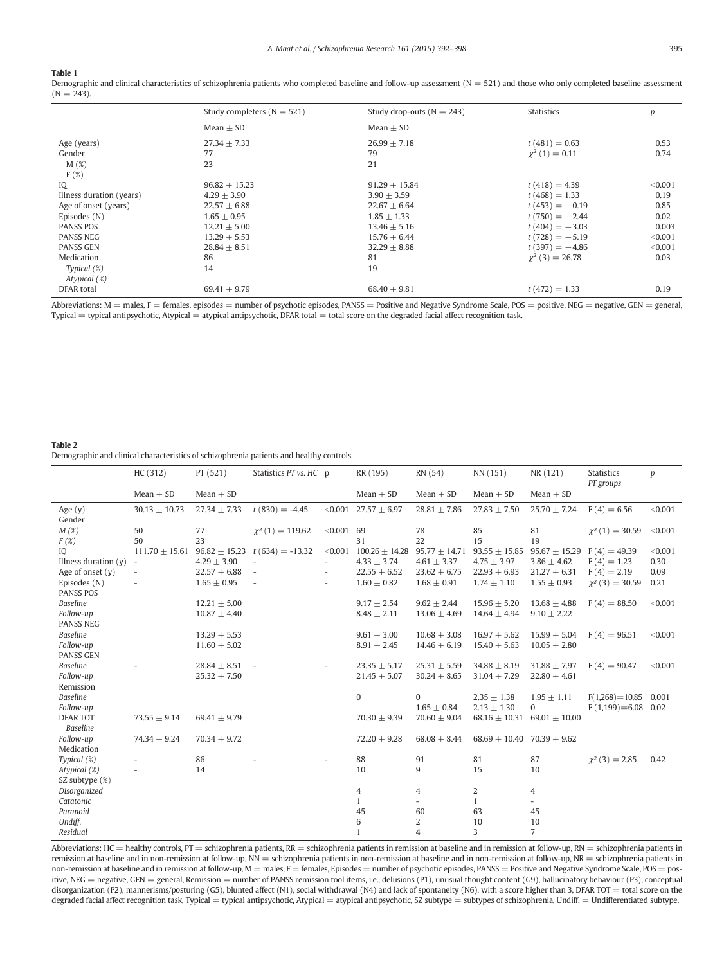#### <span id="page-3-0"></span>Table 1

Demographic and clinical characteristics of schizophrenia patients who completed baseline and follow-up assessment  $(N = 521)$  and those who only completed baseline assessment  $(N = 243)$ .

|                          | Study completers $(N = 521)$ | Study drop-outs ( $N = 243$ ) | <b>Statistics</b>    | p       |
|--------------------------|------------------------------|-------------------------------|----------------------|---------|
|                          | Mean $\pm$ SD                | Mean $\pm$ SD                 |                      |         |
| Age (years)              | $27.34 \pm 7.33$             | $26.99 + 7.18$                | $t(481) = 0.63$      | 0.53    |
| Gender                   | 77                           | 79                            | $\chi^2$ (1) = 0.11  | 0.74    |
| M(%)                     | 23                           | 21                            |                      |         |
| $F(\%)$                  |                              |                               |                      |         |
| IQ                       | $96.82 \pm 15.23$            | $91.29 + 15.84$               | $t(418) = 4.39$      | < 0.001 |
| Illness duration (years) | $4.29 + 3.90$                | $3.90 + 3.59$                 | $t(468) = 1.33$      | 0.19    |
| Age of onset (years)     | $22.57 \pm 6.88$             | $22.67 \pm 6.64$              | $t(453) = -0.19$     | 0.85    |
| Episodes (N)             | $1.65 + 0.95$                | $1.85 \pm 1.33$               | $t(750) = -2.44$     | 0.02    |
| <b>PANSS POS</b>         | $12.21 \pm 5.00$             | $13.46 \pm 5.16$              | $t(404) = -3.03$     | 0.003   |
| <b>PANSS NEG</b>         | $13.29 \pm 5.53$             | $15.76 \pm 6.44$              | $t(728) = -5.19$     | < 0.001 |
| <b>PANSS GEN</b>         | $28.84 + 8.51$               | $32.29 + 8.88$                | $t(397) = -4.86$     | < 0.001 |
| Medication               | 86                           | 81                            | $\chi^2$ (3) = 26.78 | 0.03    |
| Typical $(\%)$           | 14                           | 19                            |                      |         |
| Atypical (%)             |                              |                               |                      |         |
| DFAR total               | $69.41 \pm 9.79$             | $68.40 \pm 9.81$              | $t(472) = 1.33$      | 0.19    |

Abbreviations:  $M =$  males,  $F =$  females, episodes  $=$  number of psychotic episodes, PANSS  $=$  Positive and Negative Syndrome Scale, POS  $=$  positive, NEG  $=$  negative, GEN  $=$  general, Typical = typical antipsychotic, Atypical = atypical antipsychotic, DFAR total = total score on the degraded facial affect recognition task.

#### Table 2

Demographic and clinical characteristics of schizophrenia patients and healthy controls.

|                        | HC (312)                 | PT(521)           | Statistics PT vs. HC p   |                          | RR (195)                   | RN (54)           | NN (151)                            | NR (121)          | <b>Statistics</b><br>PT groups | p       |
|------------------------|--------------------------|-------------------|--------------------------|--------------------------|----------------------------|-------------------|-------------------------------------|-------------------|--------------------------------|---------|
|                        | Mean $\pm$ SD            | Mean $\pm$ SD     |                          |                          | Mean $\pm$ SD              | Mean $\pm$ SD     | Mean $\pm$ SD                       | Mean $\pm$ SD     |                                |         |
| Age $(y)$<br>Gender    | $30.13 \pm 10.73$        | $27.34 \pm 7.33$  | $t(830) = -4.45$         |                          | $< 0.001$ 27.57 $\pm$ 6.97 | $28.81 \pm 7.86$  | $27.83 \pm 7.50$                    | $25.70 \pm 7.24$  | $F(4) = 6.56$                  | < 0.001 |
| $M(\mathcal{X})$       | 50                       | 77                | $\chi^2(1) = 119.62$     | $< 0.001$ 69             |                            | 78                | 85                                  | 81                | $\chi^2(1) = 30.59$            | < 0.001 |
| F(X)                   | 50                       | 23                |                          |                          | 31                         | 22                | 15                                  | 19                |                                |         |
| IQ                     | $111.70 \pm 15.61$       | $96.82 \pm 15.23$ | $t(634) = -13.32$        | < 0.001                  | $100.26 \pm 14.28$         | $95.77 \pm 14.71$ | $93.55 \pm 15.85$                   | $95.67 \pm 15.29$ | $F(4) = 49.39$                 | < 0.001 |
| Illness duration $(y)$ | $\overline{\phantom{a}}$ | $4.29 \pm 3.90$   |                          | $\overline{\phantom{a}}$ | $4.33 \pm 3.74$            | $4.61 \pm 3.37$   | $4.75 \pm 3.97$                     | $3.86 \pm 4.62$   | $F(4) = 1.23$                  | 0.30    |
| Age of onset (y)       |                          | $22.57 \pm 6.88$  | $\overline{\phantom{a}}$ | $\overline{\phantom{a}}$ | $22.55 \pm 6.52$           | $23.62 \pm 6.75$  | $22.93 \pm 6.93$                    | $21.27 \pm 6.31$  | $F(4) = 2.19$                  | 0.09    |
| Episodes (N)           |                          | $1.65 \pm 0.95$   | $\overline{a}$           | $\overline{\phantom{a}}$ | $1.60 \pm 0.82$            | $1.68 \pm 0.91$   | $1.74 \pm 1.10$                     | $1.55 \pm 0.93$   | $\chi^2(3) = 30.59$            | 0.21    |
| <b>PANSS POS</b>       |                          |                   |                          |                          |                            |                   |                                     |                   |                                |         |
| <b>Baseline</b>        |                          | $12.21 \pm 5.00$  |                          |                          | $9.17 \pm 2.54$            | $9.62 \pm 2.44$   | $15.96 \pm 5.20$                    | $13.68 \pm 4.88$  | $F(4) = 88.50$                 | < 0.001 |
| Follow-up              |                          | $10.87 \pm 4.40$  |                          |                          | $8.48 \pm 2.11$            | $13.06 \pm 4.69$  | $14.64 \pm 4.94$                    | $9.10 \pm 2.22$   |                                |         |
| <b>PANSS NEG</b>       |                          |                   |                          |                          |                            |                   |                                     |                   |                                |         |
| <b>Baseline</b>        |                          | $13.29 \pm 5.53$  |                          |                          | $9.61 \pm 3.00$            | $10.68 \pm 3.08$  | $16.97 \pm 5.62$                    | $15.99 \pm 5.04$  | $F(4) = 96.51$                 | < 0.001 |
| Follow-up              |                          | $11.60 \pm 5.02$  |                          |                          | $8.91 \pm 2.45$            | $14.46 \pm 6.19$  | $15.40 \pm 5.63$                    | $10.05 \pm 2.80$  |                                |         |
| <b>PANSS GEN</b>       |                          |                   |                          |                          |                            |                   |                                     |                   |                                |         |
| <b>Baseline</b>        |                          | $28.84 \pm 8.51$  | $\overline{\phantom{a}}$ |                          | $23.35 + 5.17$             | $25.31 \pm 5.59$  | $34.88 + 8.19$                      | $31.88 \pm 7.97$  | $F(4) = 90.47$                 | < 0.001 |
| Follow-up              |                          | $25.32 \pm 7.50$  |                          |                          | $21.45 \pm 5.07$           | $30.24 \pm 8.65$  | $31.04 \pm 7.29$                    | $22.80 \pm 4.61$  |                                |         |
| Remission              |                          |                   |                          |                          |                            |                   |                                     |                   |                                |         |
| <b>Baseline</b>        |                          |                   |                          |                          | $\mathbf{0}$               | $\Omega$          | $2.35 \pm 1.38$                     | $1.95 \pm 1.11$   | $F(1,268)=10.85$               | 0.001   |
| Follow-up              |                          |                   |                          |                          |                            | $1.65 \pm 0.84$   | $2.13 \pm 1.30$                     | $\mathbf{0}$      | $F(1,199)=6.08$ 0.02           |         |
| <b>DFAR TOT</b>        | $73.55 \pm 9.14$         | 69.41 $\pm$ 9.79  |                          |                          | $70.30 \pm 9.39$           | $70.60 \pm 9.04$  | $68.16 \pm 10.31$ 69.01 $\pm$ 10.00 |                   |                                |         |
| <b>Baseline</b>        |                          |                   |                          |                          |                            |                   |                                     |                   |                                |         |
| Follow-up              | $74.34 \pm 9.24$         | $70.34 \pm 9.72$  |                          |                          | $72.20 \pm 9.28$           | $68.08 \pm 8.44$  | $68.69 \pm 10.40$ 70.39 $\pm$ 9.62  |                   |                                |         |
| Medication             |                          |                   |                          |                          |                            |                   |                                     |                   |                                |         |
| Typical $(\%)$         |                          | 86                |                          |                          | 88                         | 91                | 81                                  | 87                | $\chi^2$ (3) = 2.85            | 0.42    |
| Atypical (%)           |                          | 14                |                          |                          | 10                         | 9                 | 15                                  | 10                |                                |         |
| SZ subtype (%)         |                          |                   |                          |                          |                            |                   |                                     |                   |                                |         |
| Disorganized           |                          |                   |                          |                          | 4                          | 4                 | 2                                   | 4                 |                                |         |
| Catatonic              |                          |                   |                          |                          | $\mathbf{1}$               |                   | $\mathbf{1}$                        |                   |                                |         |
| Paranoid               |                          |                   |                          |                          | 45                         | 60                | 63                                  | 45                |                                |         |
| Undiff.                |                          |                   |                          |                          | 6                          | 2                 | 10                                  | 10                |                                |         |
| Residual               |                          |                   |                          |                          | $\mathbf{1}$               | $\overline{4}$    | 3                                   | $\overline{7}$    |                                |         |

Abbreviations: HC = healthy controls, PT = schizophrenia patients, RR = schizophrenia patients in remission at baseline and in remission at follow-up, RN = schizophrenia patients in remission at baseline and in non-remission at follow-up, NN = schizophrenia patients in non-remission at baseline and in non-remission at follow-up, NR = schizophrenia patients in non-remission at baseline and in remission at follow-up, M = males, F = females, Episodes = number of psychotic episodes, PANSS = Positive and Negative Syndrome Scale, POS = positive, NEG = negative, GEN = general, Remission = number of PANSS remission tool items, i.e., delusions (P1), unusual thought content (G9), hallucinatory behaviour (P3), conceptual disorganization (P2), mannerisms/posturing (G5), blunted affect (N1), social withdrawal (N4) and lack of spontaneity (N6), with a score higher than 3, DFAR TOT = total score on the degraded facial affect recognition task, Typical = typical antipsychotic, Atypical = atypical antipsychotic, SZ subtype = subtypes of schizophrenia, Undiff. = Undifferentiated subtype.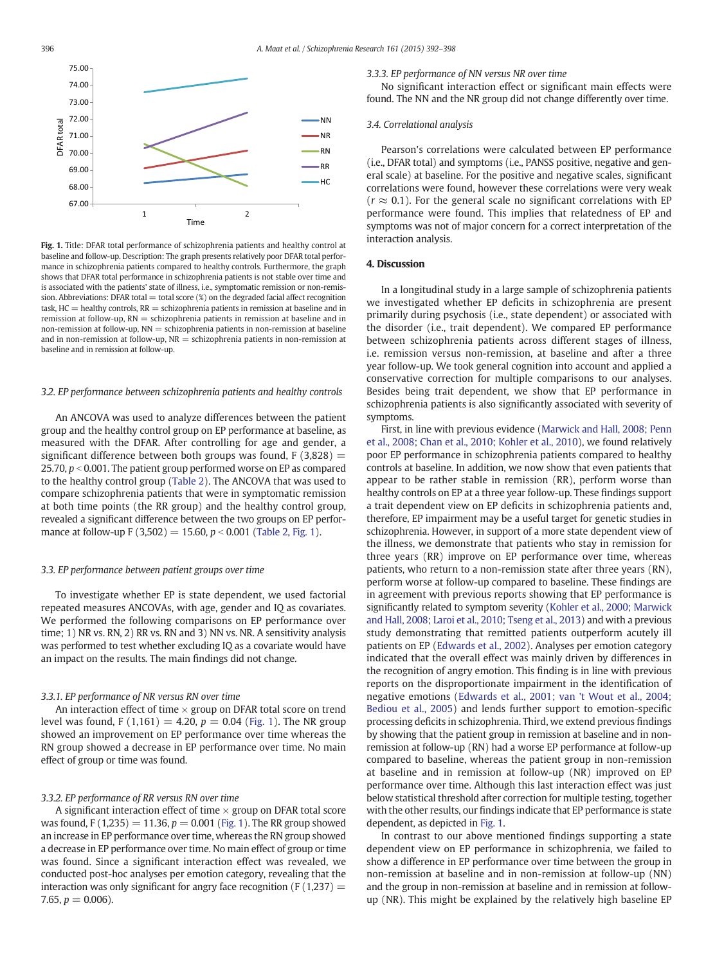

Fig. 1. Title: DFAR total performance of schizophrenia patients and healthy control at baseline and follow-up. Description: The graph presents relatively poor DFAR total performance in schizophrenia patients compared to healthy controls. Furthermore, the graph shows that DFAR total performance in schizophrenia patients is not stable over time and is associated with the patients' state of illness, i.e., symptomatic remission or non-remission. Abbreviations: DFAR total = total score  $(\%)$  on the degraded facial affect recognition task,  $HC =$  healthy controls,  $RR =$  schizophrenia patients in remission at baseline and in remission at follow-up,  $RN =$  schizophrenia patients in remission at baseline and in non-remission at follow-up, NN = schizophrenia patients in non-remission at baseline and in non-remission at follow-up,  $NR =$  schizophrenia patients in non-remission at baseline and in remission at follow-up.

#### 3.2. EP performance between schizophrenia patients and healthy controls

An ANCOVA was used to analyze differences between the patient group and the healthy control group on EP performance at baseline, as measured with the DFAR. After controlling for age and gender, a significant difference between both groups was found,  $F(3,828) =$ 25.70,  $p < 0.001$ . The patient group performed worse on EP as compared to the healthy control group ([Table 2\)](#page-3-0). The ANCOVA that was used to compare schizophrenia patients that were in symptomatic remission at both time points (the RR group) and the healthy control group, revealed a significant difference between the two groups on EP performance at follow-up F (3,502) = 15.60,  $p < 0.001$  [\(Table 2,](#page-3-0) Fig. 1).

#### 3.3. EP performance between patient groups over time

To investigate whether EP is state dependent, we used factorial repeated measures ANCOVAs, with age, gender and IQ as covariates. We performed the following comparisons on EP performance over time; 1) NR vs. RN, 2) RR vs. RN and 3) NN vs. NR. A sensitivity analysis was performed to test whether excluding IQ as a covariate would have an impact on the results. The main findings did not change.

#### 3.3.1. EP performance of NR versus RN over time

An interaction effect of time  $\times$  group on DFAR total score on trend level was found, F (1,161) = 4.20,  $p = 0.04$  (Fig. 1). The NR group showed an improvement on EP performance over time whereas the RN group showed a decrease in EP performance over time. No main effect of group or time was found.

#### 3.3.2. EP performance of RR versus RN over time

A significant interaction effect of time  $\times$  group on DFAR total score was found, F (1,235) = 11.36,  $p = 0.001$  (Fig. 1). The RR group showed an increase in EP performance over time, whereas the RN group showed a decrease in EP performance over time. No main effect of group or time was found. Since a significant interaction effect was revealed, we conducted post-hoc analyses per emotion category, revealing that the interaction was only significant for angry face recognition ( $F(1,237) =$ 7.65,  $p = 0.006$ ).

# 3.3.3. EP performance of NN versus NR over time

No significant interaction effect or significant main effects were found. The NN and the NR group did not change differently over time.

# 3.4. Correlational analysis

Pearson's correlations were calculated between EP performance (i.e., DFAR total) and symptoms (i.e., PANSS positive, negative and general scale) at baseline. For the positive and negative scales, significant correlations were found, however these correlations were very weak  $(r \approx 0.1)$ . For the general scale no significant correlations with EP performance were found. This implies that relatedness of EP and symptoms was not of major concern for a correct interpretation of the interaction analysis.

### 4. Discussion

In a longitudinal study in a large sample of schizophrenia patients we investigated whether EP deficits in schizophrenia are present primarily during psychosis (i.e., state dependent) or associated with the disorder (i.e., trait dependent). We compared EP performance between schizophrenia patients across different stages of illness, i.e. remission versus non-remission, at baseline and after a three year follow-up. We took general cognition into account and applied a conservative correction for multiple comparisons to our analyses. Besides being trait dependent, we show that EP performance in schizophrenia patients is also significantly associated with severity of symptoms.

First, in line with previous evidence ([Marwick and Hall, 2008; Penn](#page-6-0) [et al., 2008; Chan et al., 2010; Kohler et al., 2010](#page-6-0)), we found relatively poor EP performance in schizophrenia patients compared to healthy controls at baseline. In addition, we now show that even patients that appear to be rather stable in remission (RR), perform worse than healthy controls on EP at a three year follow-up. These findings support a trait dependent view on EP deficits in schizophrenia patients and, therefore, EP impairment may be a useful target for genetic studies in schizophrenia. However, in support of a more state dependent view of the illness, we demonstrate that patients who stay in remission for three years (RR) improve on EP performance over time, whereas patients, who return to a non-remission state after three years (RN), perform worse at follow-up compared to baseline. These findings are in agreement with previous reports showing that EP performance is significantly related to symptom severity ([Kohler et al., 2000; Marwick](#page-6-0) [and Hall, 2008; Laroi et al., 2010; Tseng et al., 2013](#page-6-0)) and with a previous study demonstrating that remitted patients outperform acutely ill patients on EP ([Edwards et al., 2002](#page-5-0)). Analyses per emotion category indicated that the overall effect was mainly driven by differences in the recognition of angry emotion. This finding is in line with previous reports on the disproportionate impairment in the identification of negative emotions [\(Edwards et al., 2001; van 't Wout et al., 2004;](#page-5-0) [Bediou et al., 2005\)](#page-5-0) and lends further support to emotion-specific processing deficits in schizophrenia. Third, we extend previous findings by showing that the patient group in remission at baseline and in nonremission at follow-up (RN) had a worse EP performance at follow-up compared to baseline, whereas the patient group in non-remission at baseline and in remission at follow-up (NR) improved on EP performance over time. Although this last interaction effect was just below statistical threshold after correction for multiple testing, together with the other results, our findings indicate that EP performance is state dependent, as depicted in Fig. 1.

In contrast to our above mentioned findings supporting a state dependent view on EP performance in schizophrenia, we failed to show a difference in EP performance over time between the group in non-remission at baseline and in non-remission at follow-up (NN) and the group in non-remission at baseline and in remission at followup (NR). This might be explained by the relatively high baseline EP

<span id="page-4-0"></span>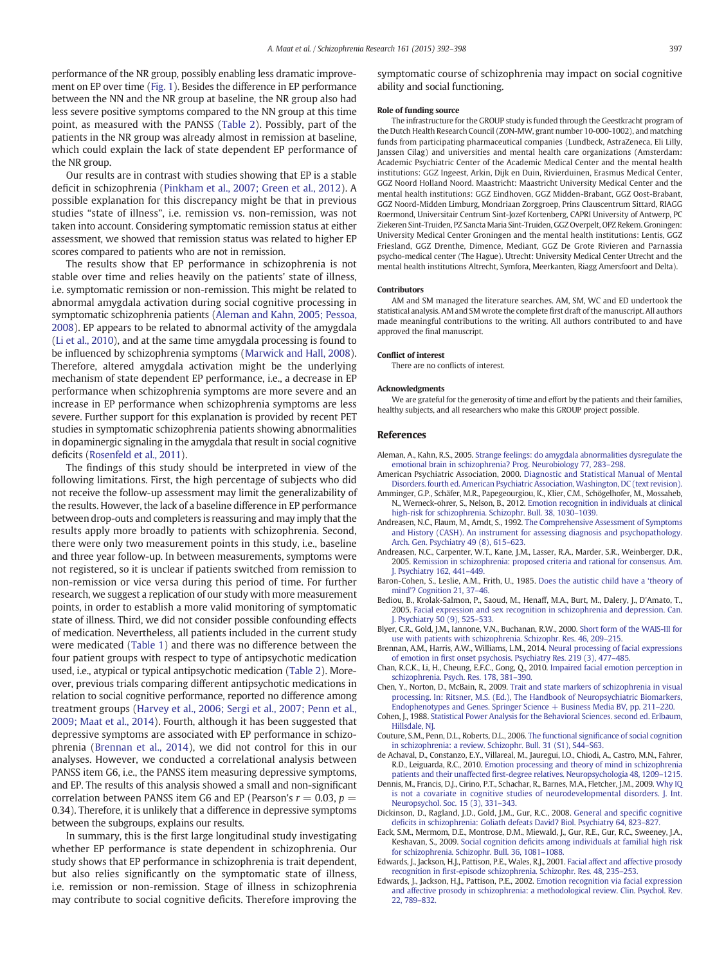<span id="page-5-0"></span>performance of the NR group, possibly enabling less dramatic improvement on EP over time [\(Fig. 1\)](#page-4-0). Besides the difference in EP performance between the NN and the NR group at baseline, the NR group also had less severe positive symptoms compared to the NN group at this time point, as measured with the PANSS ([Table 2](#page-3-0)). Possibly, part of the patients in the NR group was already almost in remission at baseline, which could explain the lack of state dependent EP performance of the NR group.

Our results are in contrast with studies showing that EP is a stable deficit in schizophrenia ([Pinkham et al., 2007; Green et al., 2012\)](#page-6-0). A possible explanation for this discrepancy might be that in previous studies "state of illness", i.e. remission vs. non-remission, was not taken into account. Considering symptomatic remission status at either assessment, we showed that remission status was related to higher EP scores compared to patients who are not in remission.

The results show that EP performance in schizophrenia is not stable over time and relies heavily on the patients' state of illness, i.e. symptomatic remission or non-remission. This might be related to abnormal amygdala activation during social cognitive processing in symptomatic schizophrenia patients (Aleman and Kahn, 2005; Pessoa, 2008). EP appears to be related to abnormal activity of the amygdala [\(Li et al., 2010](#page-6-0)), and at the same time amygdala processing is found to be influenced by schizophrenia symptoms ([Marwick and Hall, 2008](#page-6-0)). Therefore, altered amygdala activation might be the underlying mechanism of state dependent EP performance, i.e., a decrease in EP performance when schizophrenia symptoms are more severe and an increase in EP performance when schizophrenia symptoms are less severe. Further support for this explanation is provided by recent PET studies in symptomatic schizophrenia patients showing abnormalities in dopaminergic signaling in the amygdala that result in social cognitive deficits ([Rosenfeld et al., 2011\)](#page-6-0).

The findings of this study should be interpreted in view of the following limitations. First, the high percentage of subjects who did not receive the follow-up assessment may limit the generalizability of the results. However, the lack of a baseline difference in EP performance between drop-outs and completers is reassuring and may imply that the results apply more broadly to patients with schizophrenia. Second, there were only two measurement points in this study, i.e., baseline and three year follow-up. In between measurements, symptoms were not registered, so it is unclear if patients switched from remission to non-remission or vice versa during this period of time. For further research, we suggest a replication of our study with more measurement points, in order to establish a more valid monitoring of symptomatic state of illness. Third, we did not consider possible confounding effects of medication. Nevertheless, all patients included in the current study were medicated [\(Table 1\)](#page-3-0) and there was no difference between the four patient groups with respect to type of antipsychotic medication used, i.e., atypical or typical antipsychotic medication [\(Table 2](#page-3-0)). Moreover, previous trials comparing different antipsychotic medications in relation to social cognitive performance, reported no difference among treatment groups ([Harvey et al., 2006; Sergi et al., 2007; Penn et al.,](#page-6-0) [2009; Maat et al., 2014\)](#page-6-0). Fourth, although it has been suggested that depressive symptoms are associated with EP performance in schizophrenia (Brennan et al., 2014), we did not control for this in our analyses. However, we conducted a correlational analysis between PANSS item G6, i.e., the PANSS item measuring depressive symptoms, and EP. The results of this analysis showed a small and non-significant correlation between PANSS item G6 and EP (Pearson's  $r = 0.03$ ,  $p =$ 0.34). Therefore, it is unlikely that a difference in depressive symptoms between the subgroups, explains our results.

In summary, this is the first large longitudinal study investigating whether EP performance is state dependent in schizophrenia. Our study shows that EP performance in schizophrenia is trait dependent, but also relies significantly on the symptomatic state of illness, i.e. remission or non-remission. Stage of illness in schizophrenia may contribute to social cognitive deficits. Therefore improving the symptomatic course of schizophrenia may impact on social cognitive ability and social functioning.

#### Role of funding source

The infrastructure for the GROUP study is funded through the Geestkracht program of the Dutch Health Research Council (ZON-MW, grant number 10-000-1002), and matching funds from participating pharmaceutical companies (Lundbeck, AstraZeneca, Eli Lilly, Janssen Cilag) and universities and mental health care organizations (Amsterdam: Academic Psychiatric Center of the Academic Medical Center and the mental health institutions: GGZ Ingeest, Arkin, Dijk en Duin, Rivierduinen, Erasmus Medical Center, GGZ Noord Holland Noord. Maastricht: Maastricht University Medical Center and the mental health institutions: GGZ Eindhoven, GGZ Midden-Brabant, GGZ Oost-Brabant, GGZ Noord-Midden Limburg, Mondriaan Zorggroep, Prins Clauscentrum Sittard, RIAGG Roermond, Universitair Centrum Sint-Jozef Kortenberg, CAPRI University of Antwerp, PC Ziekeren Sint-Truiden, PZ Sancta Maria Sint-Truiden, GGZ Overpelt, OPZ Rekem. Groningen: University Medical Center Groningen and the mental health institutions: Lentis, GGZ Friesland, GGZ Drenthe, Dimence, Mediant, GGZ De Grote Rivieren and Parnassia psycho-medical center (The Hague). Utrecht: University Medical Center Utrecht and the mental health institutions Altrecht, Symfora, Meerkanten, Riagg Amersfoort and Delta).

#### Contributors

AM and SM managed the literature searches. AM, SM, WC and ED undertook the statistical analysis. AM and SM wrote the complete first draft of the manuscript. All authors made meaningful contributions to the writing. All authors contributed to and have approved the final manuscript.

#### Conflict of interest

There are no conflicts of interest.

#### Acknowledgments

We are grateful for the generosity of time and effort by the patients and their families, healthy subjects, and all researchers who make this GROUP project possible.

#### References

- Aleman, A., Kahn, R.S., 2005. [Strange feelings: do amygdala abnormalities dysregulate the](http://refhub.elsevier.com/S0920-9964(14)00704-X/rf0010) [emotional brain in schizophrenia? Prog. Neurobiology 77, 283](http://refhub.elsevier.com/S0920-9964(14)00704-X/rf0010)–298.
- American Psychiatric Association, 2000. [Diagnostic and Statistical Manual of Mental](http://refhub.elsevier.com/S0920-9964(14)00704-X/rf0235) Disorders. fourth ed. American Psychiatric Association, Washington, DC (text revision).
- Amminger, G.P., Schäfer, M.R., Papegeourgiou, K., Klier, C.M., Schögelhofer, M., Mossaheb, N., Werneck-ohrer, S., Nelson, B., 2012. [Emotion recognition in individuals at clinical](http://refhub.elsevier.com/S0920-9964(14)00704-X/rf0240) [high-risk for schizophrenia. Schizophr. Bull. 38, 1030](http://refhub.elsevier.com/S0920-9964(14)00704-X/rf0240)–1039.
- Andreasen, N.C., Flaum, M., Arndt, S., 1992. [The Comprehensive Assessment of Symptoms](http://refhub.elsevier.com/S0920-9964(14)00704-X/rf0020) [and History \(CASH\). An instrument for assessing diagnosis and psychopathology.](http://refhub.elsevier.com/S0920-9964(14)00704-X/rf0020) [Arch. Gen. Psychiatry 49 \(8\), 615](http://refhub.elsevier.com/S0920-9964(14)00704-X/rf0020)–623.
- Andreasen, N.C., Carpenter, W.T., Kane, J.M., Lasser, R.A., Marder, S.R., Weinberger, D.R., 2005. [Remission in schizophrenia: proposed criteria and rational for consensus. Am.](http://refhub.elsevier.com/S0920-9964(14)00704-X/rf0025) [J. Psychiatry 162, 441](http://refhub.elsevier.com/S0920-9964(14)00704-X/rf0025)–449.
- Baron-Cohen, S., Leslie, A.M., Frith, U., 1985. [Does the autistic child have a](http://refhub.elsevier.com/S0920-9964(14)00704-X/rf0030) 'theory of mind'[? Cognition 21, 37](http://refhub.elsevier.com/S0920-9964(14)00704-X/rf0030)–46.
- Bediou, B., Krolak-Salmon, P., Saoud, M., Henaff, M.A., Burt, M., Dalery, J., D'Amato, T., 2005. [Facial expression and sex recognition in schizophrenia and depression. Can.](http://refhub.elsevier.com/S0920-9964(14)00704-X/rf0035) [J. Psychiatry 50 \(9\), 525](http://refhub.elsevier.com/S0920-9964(14)00704-X/rf0035)–533.
- Blyer, C.R., Gold, J.M., Iannone, V.N., Buchanan, R.W., 2000. [Short form of the WAIS-III for](http://refhub.elsevier.com/S0920-9964(14)00704-X/rf0040) [use with patients with schizophrenia. Schizophr. Res. 46, 209](http://refhub.elsevier.com/S0920-9964(14)00704-X/rf0040)–215.
- Brennan, A.M., Harris, A.W., Williams, L.M., 2014. [Neural processing of facial expressions](http://refhub.elsevier.com/S0920-9964(14)00704-X/rf0045) of emotion in fi[rst onset psychosis. Psychiatry Res. 219 \(3\), 477](http://refhub.elsevier.com/S0920-9964(14)00704-X/rf0045)–485.
- Chan, R.C.K., Li, H., Cheung, E.F.C., Gong, Q., 2010. [Impaired facial emotion perception in](http://refhub.elsevier.com/S0920-9964(14)00704-X/rf0050) [schizophrenia. Psych. Res. 178, 381](http://refhub.elsevier.com/S0920-9964(14)00704-X/rf0050)–390.
- Chen, Y., Norton, D., McBain, R., 2009. [Trait and state markers of schizophrenia in visual](http://refhub.elsevier.com/S0920-9964(14)00704-X/rf0245) [processing. In: Ritsner, M.S. \(Ed.\), The Handbook of Neuropsychiatric Biomarkers,](http://refhub.elsevier.com/S0920-9964(14)00704-X/rf0245) [Endophenotypes and Genes. Springer Science + Business Media BV, pp. 211](http://refhub.elsevier.com/S0920-9964(14)00704-X/rf0245)–220.
- Cohen, J., 1988. [Statistical Power Analysis for the Behavioral Sciences. second ed. Erlbaum,](http://refhub.elsevier.com/S0920-9964(14)00704-X/rf0060) [Hillsdale, NJ.](http://refhub.elsevier.com/S0920-9964(14)00704-X/rf0060)
- Couture, S.M., Penn, D.L., Roberts, D.L., 2006. The functional signifi[cance of social cognition](http://refhub.elsevier.com/S0920-9964(14)00704-X/rf0065) [in schizophrenia: a review. Schizophr. Bull. 31 \(S1\), S44](http://refhub.elsevier.com/S0920-9964(14)00704-X/rf0065)–S63.
- de Achaval, D., Constanzo, E.Y., Villareal, M., Jauregui, I.O., Chiodi, A., Castro, M.N., Fahrer, R.D., Leiguarda, R.C., 2010. [Emotion processing and theory of mind in schizophrenia](http://refhub.elsevier.com/S0920-9964(14)00704-X/rf0005) patients and their unaffected fi[rst-degree relatives. Neuropsychologia 48, 1209](http://refhub.elsevier.com/S0920-9964(14)00704-X/rf0005)–1215.
- Dennis, M., Francis, D.J., Cirino, P.T., Schachar, R., Barnes, M.A., Fletcher, J.M., 2009. [Why IQ](http://refhub.elsevier.com/S0920-9964(14)00704-X/rf0070) [is not a covariate in cognitive studies of neurodevelopmental disorders. J. Int.](http://refhub.elsevier.com/S0920-9964(14)00704-X/rf0070) [Neuropsychol. Soc. 15 \(3\), 331](http://refhub.elsevier.com/S0920-9964(14)00704-X/rf0070)–343.
- Dickinson, D., Ragland, J.D., Gold, J.M., Gur, R.C., 2008. [General and speci](http://refhub.elsevier.com/S0920-9964(14)00704-X/rf0075)fic cognitive defi[cits in schizophrenia: Goliath defeats David? Biol. Psychiatry 64, 823](http://refhub.elsevier.com/S0920-9964(14)00704-X/rf0075)–827.
- Eack, S.M., Mermom, D.E., Montrose, D.M., Miewald, J., Gur, R.E., Gur, R.C., Sweeney, J.A. Keshavan, S., 2009. Social cognition defi[cits among individuals at familial high risk](http://refhub.elsevier.com/S0920-9964(14)00704-X/rf0080) [for schizophrenia. Schizophr. Bull. 36, 1081](http://refhub.elsevier.com/S0920-9964(14)00704-X/rf0080)–1088.
- Edwards, J., Jackson, H.J., Pattison, P.E., Wales, R.J., 2001. [Facial affect and affective prosody](http://refhub.elsevier.com/S0920-9964(14)00704-X/rf0085) recognition in fi[rst-episode schizophrenia. Schizophr. Res. 48, 235](http://refhub.elsevier.com/S0920-9964(14)00704-X/rf0085)–253.
- Edwards, J., Jackson, H.J., Pattison, P.E., 2002. [Emotion recognition via facial expression](http://refhub.elsevier.com/S0920-9964(14)00704-X/rf0090) [and affective prosody in schizophrenia: a methodological review. Clin. Psychol. Rev.](http://refhub.elsevier.com/S0920-9964(14)00704-X/rf0090) [22, 789](http://refhub.elsevier.com/S0920-9964(14)00704-X/rf0090)–832.